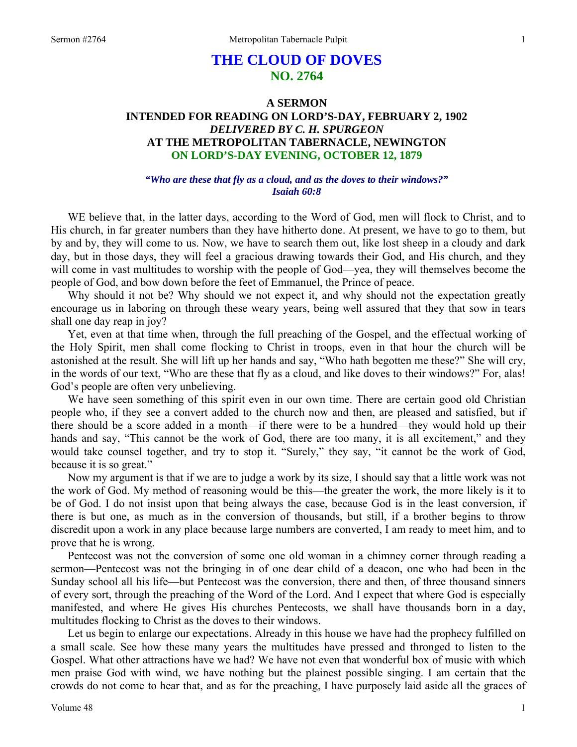# **THE CLOUD OF DOVES NO. 2764**

# **A SERMON INTENDED FOR READING ON LORD'S-DAY, FEBRUARY 2, 1902**  *DELIVERED BY C. H. SPURGEON*  **AT THE METROPOLITAN TABERNACLE, NEWINGTON ON LORD'S-DAY EVENING, OCTOBER 12, 1879**

#### *"Who are these that fly as a cloud, and as the doves to their windows?" Isaiah 60:8*

WE believe that, in the latter days, according to the Word of God, men will flock to Christ, and to His church, in far greater numbers than they have hitherto done. At present, we have to go to them, but by and by, they will come to us. Now, we have to search them out, like lost sheep in a cloudy and dark day, but in those days, they will feel a gracious drawing towards their God, and His church, and they will come in vast multitudes to worship with the people of God—yea, they will themselves become the people of God, and bow down before the feet of Emmanuel, the Prince of peace.

Why should it not be? Why should we not expect it, and why should not the expectation greatly encourage us in laboring on through these weary years, being well assured that they that sow in tears shall one day reap in joy?

Yet, even at that time when, through the full preaching of the Gospel, and the effectual working of the Holy Spirit, men shall come flocking to Christ in troops, even in that hour the church will be astonished at the result. She will lift up her hands and say, "Who hath begotten me these?" She will cry, in the words of our text, "Who are these that fly as a cloud, and like doves to their windows?" For, alas! God's people are often very unbelieving.

We have seen something of this spirit even in our own time. There are certain good old Christian people who, if they see a convert added to the church now and then, are pleased and satisfied, but if there should be a score added in a month—if there were to be a hundred—they would hold up their hands and say, "This cannot be the work of God, there are too many, it is all excitement," and they would take counsel together, and try to stop it. "Surely," they say, "it cannot be the work of God, because it is so great."

Now my argument is that if we are to judge a work by its size, I should say that a little work was not the work of God. My method of reasoning would be this—the greater the work, the more likely is it to be of God. I do not insist upon that being always the case, because God is in the least conversion, if there is but one, as much as in the conversion of thousands, but still, if a brother begins to throw discredit upon a work in any place because large numbers are converted, I am ready to meet him, and to prove that he is wrong.

Pentecost was not the conversion of some one old woman in a chimney corner through reading a sermon—Pentecost was not the bringing in of one dear child of a deacon, one who had been in the Sunday school all his life—but Pentecost was the conversion, there and then, of three thousand sinners of every sort, through the preaching of the Word of the Lord. And I expect that where God is especially manifested, and where He gives His churches Pentecosts, we shall have thousands born in a day, multitudes flocking to Christ as the doves to their windows.

Let us begin to enlarge our expectations. Already in this house we have had the prophecy fulfilled on a small scale. See how these many years the multitudes have pressed and thronged to listen to the Gospel. What other attractions have we had? We have not even that wonderful box of music with which men praise God with wind, we have nothing but the plainest possible singing. I am certain that the crowds do not come to hear that, and as for the preaching, I have purposely laid aside all the graces of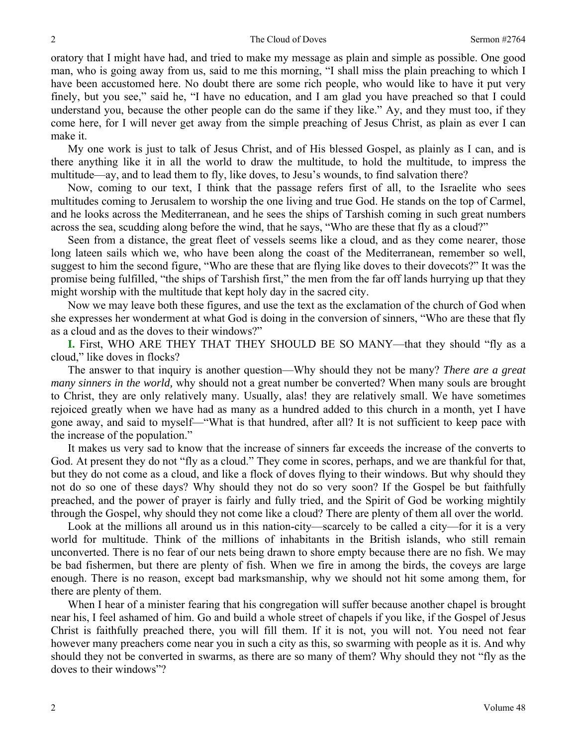oratory that I might have had, and tried to make my message as plain and simple as possible. One good man, who is going away from us, said to me this morning, "I shall miss the plain preaching to which I have been accustomed here. No doubt there are some rich people, who would like to have it put very finely, but you see," said he, "I have no education, and I am glad you have preached so that I could understand you, because the other people can do the same if they like." Ay, and they must too, if they come here, for I will never get away from the simple preaching of Jesus Christ, as plain as ever I can make it.

My one work is just to talk of Jesus Christ, and of His blessed Gospel, as plainly as I can, and is there anything like it in all the world to draw the multitude, to hold the multitude, to impress the multitude—ay, and to lead them to fly, like doves, to Jesu's wounds, to find salvation there?

Now, coming to our text, I think that the passage refers first of all, to the Israelite who sees multitudes coming to Jerusalem to worship the one living and true God. He stands on the top of Carmel, and he looks across the Mediterranean, and he sees the ships of Tarshish coming in such great numbers across the sea, scudding along before the wind, that he says, "Who are these that fly as a cloud?"

Seen from a distance, the great fleet of vessels seems like a cloud, and as they come nearer, those long lateen sails which we, who have been along the coast of the Mediterranean, remember so well, suggest to him the second figure, "Who are these that are flying like doves to their dovecots?" It was the promise being fulfilled, "the ships of Tarshish first," the men from the far off lands hurrying up that they might worship with the multitude that kept holy day in the sacred city.

Now we may leave both these figures, and use the text as the exclamation of the church of God when she expresses her wonderment at what God is doing in the conversion of sinners, "Who are these that fly as a cloud and as the doves to their windows?"

**I.** First, WHO ARE THEY THAT THEY SHOULD BE SO MANY—that they should "fly as a cloud," like doves in flocks?

The answer to that inquiry is another question—Why should they not be many? *There are a great many sinners in the world,* why should not a great number be converted? When many souls are brought to Christ, they are only relatively many. Usually, alas! they are relatively small. We have sometimes rejoiced greatly when we have had as many as a hundred added to this church in a month, yet I have gone away, and said to myself—"What is that hundred, after all? It is not sufficient to keep pace with the increase of the population."

It makes us very sad to know that the increase of sinners far exceeds the increase of the converts to God. At present they do not "fly as a cloud." They come in scores, perhaps, and we are thankful for that, but they do not come as a cloud, and like a flock of doves flying to their windows. But why should they not do so one of these days? Why should they not do so very soon? If the Gospel be but faithfully preached, and the power of prayer is fairly and fully tried, and the Spirit of God be working mightily through the Gospel, why should they not come like a cloud? There are plenty of them all over the world.

Look at the millions all around us in this nation-city—scarcely to be called a city—for it is a very world for multitude. Think of the millions of inhabitants in the British islands, who still remain unconverted. There is no fear of our nets being drawn to shore empty because there are no fish. We may be bad fishermen, but there are plenty of fish. When we fire in among the birds, the coveys are large enough. There is no reason, except bad marksmanship, why we should not hit some among them, for there are plenty of them.

When I hear of a minister fearing that his congregation will suffer because another chapel is brought near his, I feel ashamed of him. Go and build a whole street of chapels if you like, if the Gospel of Jesus Christ is faithfully preached there, you will fill them. If it is not, you will not. You need not fear however many preachers come near you in such a city as this, so swarming with people as it is. And why should they not be converted in swarms, as there are so many of them? Why should they not "fly as the doves to their windows"?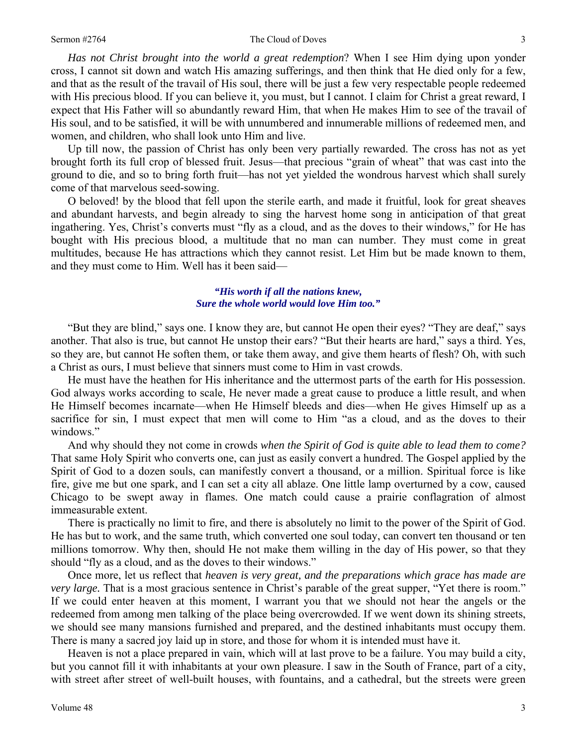#### Sermon #2764 **The Cloud of Doves** 3

*Has not Christ brought into the world a great redemption*? When I see Him dying upon yonder cross, I cannot sit down and watch His amazing sufferings, and then think that He died only for a few, and that as the result of the travail of His soul, there will be just a few very respectable people redeemed with His precious blood. If you can believe it, you must, but I cannot. I claim for Christ a great reward, I expect that His Father will so abundantly reward Him, that when He makes Him to see of the travail of His soul, and to be satisfied, it will be with unnumbered and innumerable millions of redeemed men, and women, and children, who shall look unto Him and live.

Up till now, the passion of Christ has only been very partially rewarded. The cross has not as yet brought forth its full crop of blessed fruit. Jesus—that precious "grain of wheat" that was cast into the ground to die, and so to bring forth fruit—has not yet yielded the wondrous harvest which shall surely come of that marvelous seed-sowing.

O beloved! by the blood that fell upon the sterile earth, and made it fruitful, look for great sheaves and abundant harvests, and begin already to sing the harvest home song in anticipation of that great ingathering. Yes, Christ's converts must "fly as a cloud, and as the doves to their windows," for He has bought with His precious blood, a multitude that no man can number. They must come in great multitudes, because He has attractions which they cannot resist. Let Him but be made known to them, and they must come to Him. Well has it been said—

#### *"His worth if all the nations knew, Sure the whole world would love Him too."*

"But they are blind," says one. I know they are, but cannot He open their eyes? "They are deaf," says another. That also is true, but cannot He unstop their ears? "But their hearts are hard," says a third. Yes, so they are, but cannot He soften them, or take them away, and give them hearts of flesh? Oh, with such a Christ as ours, I must believe that sinners must come to Him in vast crowds.

He must have the heathen for His inheritance and the uttermost parts of the earth for His possession. God always works according to scale, He never made a great cause to produce a little result, and when He Himself becomes incarnate—when He Himself bleeds and dies—when He gives Himself up as a sacrifice for sin, I must expect that men will come to Him "as a cloud, and as the doves to their windows."

And why should they not come in crowds *when the Spirit of God is quite able to lead them to come?* That same Holy Spirit who converts one, can just as easily convert a hundred. The Gospel applied by the Spirit of God to a dozen souls, can manifestly convert a thousand, or a million. Spiritual force is like fire, give me but one spark, and I can set a city all ablaze. One little lamp overturned by a cow, caused Chicago to be swept away in flames. One match could cause a prairie conflagration of almost immeasurable extent.

There is practically no limit to fire, and there is absolutely no limit to the power of the Spirit of God. He has but to work, and the same truth, which converted one soul today, can convert ten thousand or ten millions tomorrow. Why then, should He not make them willing in the day of His power, so that they should "fly as a cloud, and as the doves to their windows."

Once more, let us reflect that *heaven is very great, and the preparations which grace has made are very large.* That is a most gracious sentence in Christ's parable of the great supper, "Yet there is room." If we could enter heaven at this moment, I warrant you that we should not hear the angels or the redeemed from among men talking of the place being overcrowded. If we went down its shining streets, we should see many mansions furnished and prepared, and the destined inhabitants must occupy them. There is many a sacred joy laid up in store, and those for whom it is intended must have it.

Heaven is not a place prepared in vain, which will at last prove to be a failure. You may build a city, but you cannot fill it with inhabitants at your own pleasure. I saw in the South of France, part of a city, with street after street of well-built houses, with fountains, and a cathedral, but the streets were green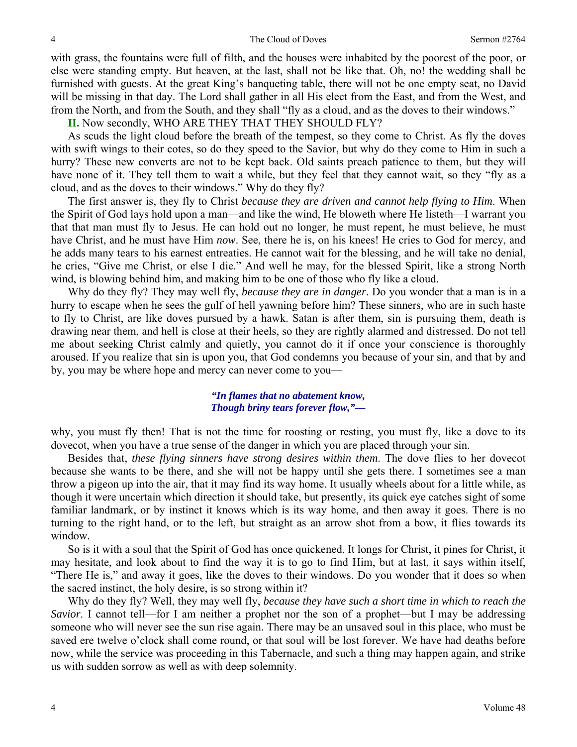#### 4 The Cloud of Doves Sermon #2764

with grass, the fountains were full of filth, and the houses were inhabited by the poorest of the poor, or else were standing empty. But heaven, at the last, shall not be like that. Oh, no! the wedding shall be furnished with guests. At the great King's banqueting table, there will not be one empty seat, no David will be missing in that day. The Lord shall gather in all His elect from the East, and from the West, and from the North, and from the South, and they shall "fly as a cloud, and as the doves to their windows."

**II.** Now secondly, WHO ARE THEY THAT THEY SHOULD FLY?

As scuds the light cloud before the breath of the tempest, so they come to Christ. As fly the doves with swift wings to their cotes, so do they speed to the Savior, but why do they come to Him in such a hurry? These new converts are not to be kept back. Old saints preach patience to them, but they will have none of it. They tell them to wait a while, but they feel that they cannot wait, so they "fly as a cloud, and as the doves to their windows." Why do they fly?

The first answer is, they fly to Christ *because they are driven and cannot help flying to Him*. When the Spirit of God lays hold upon a man—and like the wind, He bloweth where He listeth—I warrant you that that man must fly to Jesus. He can hold out no longer, he must repent, he must believe, he must have Christ, and he must have Him *now*. See, there he is, on his knees! He cries to God for mercy, and he adds many tears to his earnest entreaties. He cannot wait for the blessing, and he will take no denial, he cries, "Give me Christ, or else I die." And well he may, for the blessed Spirit, like a strong North wind, is blowing behind him, and making him to be one of those who fly like a cloud.

Why do they fly? They may well fly, *because they are in danger*. Do you wonder that a man is in a hurry to escape when he sees the gulf of hell yawning before him? These sinners, who are in such haste to fly to Christ, are like doves pursued by a hawk. Satan is after them, sin is pursuing them, death is drawing near them, and hell is close at their heels, so they are rightly alarmed and distressed. Do not tell me about seeking Christ calmly and quietly, you cannot do it if once your conscience is thoroughly aroused. If you realize that sin is upon you, that God condemns you because of your sin, and that by and by, you may be where hope and mercy can never come to you—

> *"In flames that no abatement know, Though briny tears forever flow,"—*

why, you must fly then! That is not the time for roosting or resting, you must fly, like a dove to its dovecot, when you have a true sense of the danger in which you are placed through your sin.

Besides that, *these flying sinners have strong desires within them*. The dove flies to her dovecot because she wants to be there, and she will not be happy until she gets there. I sometimes see a man throw a pigeon up into the air, that it may find its way home. It usually wheels about for a little while, as though it were uncertain which direction it should take, but presently, its quick eye catches sight of some familiar landmark, or by instinct it knows which is its way home, and then away it goes. There is no turning to the right hand, or to the left, but straight as an arrow shot from a bow, it flies towards its window.

So is it with a soul that the Spirit of God has once quickened. It longs for Christ, it pines for Christ, it may hesitate, and look about to find the way it is to go to find Him, but at last, it says within itself, "There He is," and away it goes, like the doves to their windows. Do you wonder that it does so when the sacred instinct, the holy desire, is so strong within it?

Why do they fly? Well, they may well fly, *because they have such a short time in which to reach the Savior*. I cannot tell—for I am neither a prophet nor the son of a prophet—but I may be addressing someone who will never see the sun rise again. There may be an unsaved soul in this place, who must be saved ere twelve o'clock shall come round, or that soul will be lost forever. We have had deaths before now, while the service was proceeding in this Tabernacle, and such a thing may happen again, and strike us with sudden sorrow as well as with deep solemnity.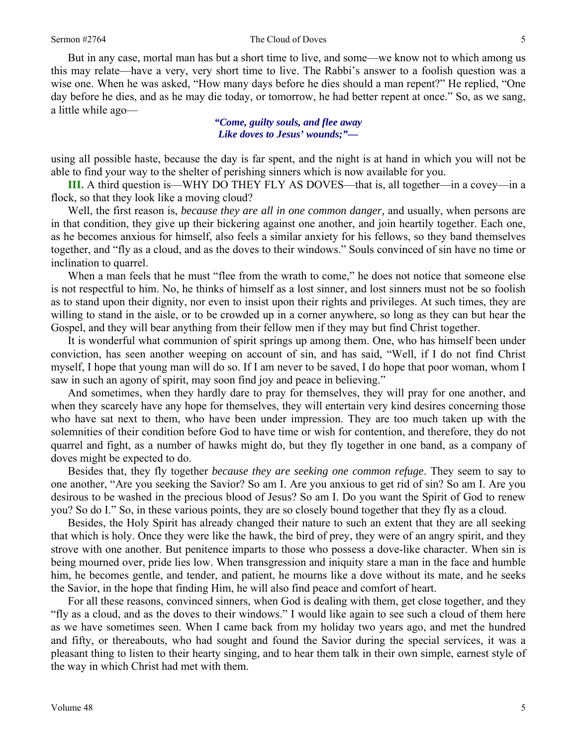But in any case, mortal man has but a short time to live, and some—we know not to which among us this may relate—have a very, very short time to live. The Rabbi's answer to a foolish question was a wise one. When he was asked, "How many days before he dies should a man repent?" He replied, "One day before he dies, and as he may die today, or tomorrow, he had better repent at once." So, as we sang, a little while ago—

> *"Come, guilty souls, and flee away Like doves to Jesus' wounds;"—*

using all possible haste, because the day is far spent, and the night is at hand in which you will not be able to find your way to the shelter of perishing sinners which is now available for you.

**III.** A third question is—WHY DO THEY FLY AS DOVES—that is, all together—in a covey—in a flock, so that they look like a moving cloud?

Well, the first reason is, *because they are all in one common danger,* and usually, when persons are in that condition, they give up their bickering against one another, and join heartily together. Each one, as he becomes anxious for himself, also feels a similar anxiety for his fellows, so they band themselves together, and "fly as a cloud, and as the doves to their windows." Souls convinced of sin have no time or inclination to quarrel.

When a man feels that he must "flee from the wrath to come," he does not notice that someone else is not respectful to him. No, he thinks of himself as a lost sinner, and lost sinners must not be so foolish as to stand upon their dignity, nor even to insist upon their rights and privileges. At such times, they are willing to stand in the aisle, or to be crowded up in a corner anywhere, so long as they can but hear the Gospel, and they will bear anything from their fellow men if they may but find Christ together.

It is wonderful what communion of spirit springs up among them. One, who has himself been under conviction, has seen another weeping on account of sin, and has said, "Well, if I do not find Christ myself, I hope that young man will do so. If I am never to be saved, I do hope that poor woman, whom I saw in such an agony of spirit, may soon find joy and peace in believing."

And sometimes, when they hardly dare to pray for themselves, they will pray for one another, and when they scarcely have any hope for themselves, they will entertain very kind desires concerning those who have sat next to them, who have been under impression. They are too much taken up with the solemnities of their condition before God to have time or wish for contention, and therefore, they do not quarrel and fight, as a number of hawks might do, but they fly together in one band, as a company of doves might be expected to do.

Besides that, they fly together *because they are seeking one common refuge*. They seem to say to one another, "Are you seeking the Savior? So am I. Are you anxious to get rid of sin? So am I. Are you desirous to be washed in the precious blood of Jesus? So am I. Do you want the Spirit of God to renew you? So do I." So, in these various points, they are so closely bound together that they fly as a cloud.

Besides, the Holy Spirit has already changed their nature to such an extent that they are all seeking that which is holy. Once they were like the hawk, the bird of prey, they were of an angry spirit, and they strove with one another. But penitence imparts to those who possess a dove-like character. When sin is being mourned over, pride lies low. When transgression and iniquity stare a man in the face and humble him, he becomes gentle, and tender, and patient, he mourns like a dove without its mate, and he seeks the Savior, in the hope that finding Him, he will also find peace and comfort of heart.

For all these reasons, convinced sinners, when God is dealing with them, get close together, and they "fly as a cloud, and as the doves to their windows." I would like again to see such a cloud of them here as we have sometimes seen. When I came back from my holiday two years ago, and met the hundred and fifty, or thereabouts, who had sought and found the Savior during the special services, it was a pleasant thing to listen to their hearty singing, and to hear them talk in their own simple, earnest style of the way in which Christ had met with them.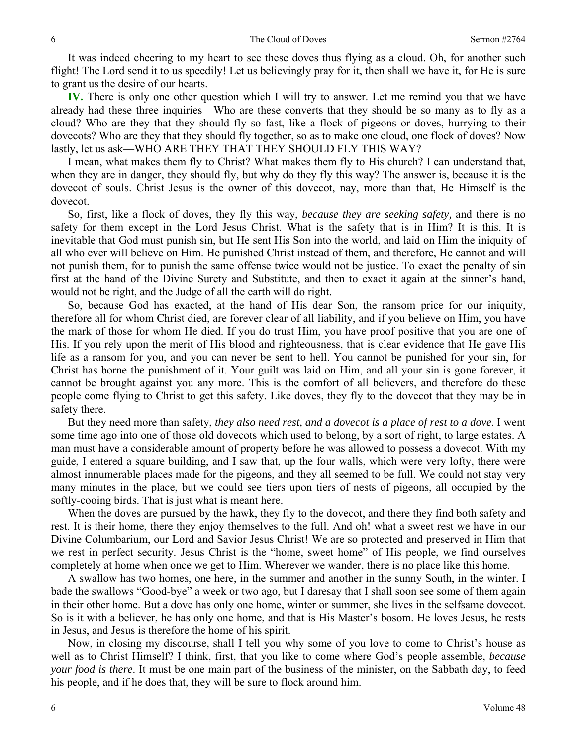It was indeed cheering to my heart to see these doves thus flying as a cloud. Oh, for another such flight! The Lord send it to us speedily! Let us believingly pray for it, then shall we have it, for He is sure to grant us the desire of our hearts.

**IV.** There is only one other question which I will try to answer. Let me remind you that we have already had these three inquiries—Who are these converts that they should be so many as to fly as a cloud? Who are they that they should fly so fast, like a flock of pigeons or doves, hurrying to their dovecots? Who are they that they should fly together, so as to make one cloud, one flock of doves? Now lastly, let us ask—WHO ARE THEY THAT THEY SHOULD FLY THIS WAY?

I mean, what makes them fly to Christ? What makes them fly to His church? I can understand that, when they are in danger, they should fly, but why do they fly this way? The answer is, because it is the dovecot of souls. Christ Jesus is the owner of this dovecot, nay, more than that, He Himself is the dovecot.

So, first, like a flock of doves, they fly this way, *because they are seeking safety,* and there is no safety for them except in the Lord Jesus Christ. What is the safety that is in Him? It is this. It is inevitable that God must punish sin, but He sent His Son into the world, and laid on Him the iniquity of all who ever will believe on Him. He punished Christ instead of them, and therefore, He cannot and will not punish them, for to punish the same offense twice would not be justice. To exact the penalty of sin first at the hand of the Divine Surety and Substitute, and then to exact it again at the sinner's hand, would not be right, and the Judge of all the earth will do right.

So, because God has exacted, at the hand of His dear Son, the ransom price for our iniquity, therefore all for whom Christ died, are forever clear of all liability, and if you believe on Him, you have the mark of those for whom He died. If you do trust Him, you have proof positive that you are one of His. If you rely upon the merit of His blood and righteousness, that is clear evidence that He gave His life as a ransom for you, and you can never be sent to hell. You cannot be punished for your sin, for Christ has borne the punishment of it. Your guilt was laid on Him, and all your sin is gone forever, it cannot be brought against you any more. This is the comfort of all believers, and therefore do these people come flying to Christ to get this safety. Like doves, they fly to the dovecot that they may be in safety there.

But they need more than safety, *they also need rest, and a dovecot is a place of rest to a dove*. I went some time ago into one of those old dovecots which used to belong, by a sort of right, to large estates. A man must have a considerable amount of property before he was allowed to possess a dovecot. With my guide, I entered a square building, and I saw that, up the four walls, which were very lofty, there were almost innumerable places made for the pigeons, and they all seemed to be full. We could not stay very many minutes in the place, but we could see tiers upon tiers of nests of pigeons, all occupied by the softly-cooing birds. That is just what is meant here.

When the doves are pursued by the hawk, they fly to the dovecot, and there they find both safety and rest. It is their home, there they enjoy themselves to the full. And oh! what a sweet rest we have in our Divine Columbarium, our Lord and Savior Jesus Christ! We are so protected and preserved in Him that we rest in perfect security. Jesus Christ is the "home, sweet home" of His people, we find ourselves completely at home when once we get to Him. Wherever we wander, there is no place like this home.

A swallow has two homes, one here, in the summer and another in the sunny South, in the winter. I bade the swallows "Good-bye" a week or two ago, but I daresay that I shall soon see some of them again in their other home. But a dove has only one home, winter or summer, she lives in the selfsame dovecot. So is it with a believer, he has only one home, and that is His Master's bosom. He loves Jesus, he rests in Jesus, and Jesus is therefore the home of his spirit.

Now, in closing my discourse, shall I tell you why some of you love to come to Christ's house as well as to Christ Himself? I think, first, that you like to come where God's people assemble, *because your food is there*. It must be one main part of the business of the minister, on the Sabbath day, to feed his people, and if he does that, they will be sure to flock around him.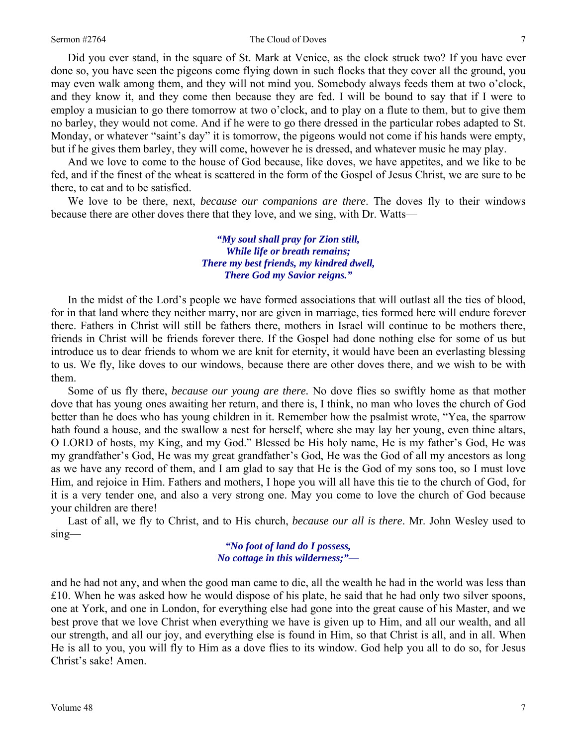#### Sermon #2764 The Cloud of Doves 7

Did you ever stand, in the square of St. Mark at Venice, as the clock struck two? If you have ever done so, you have seen the pigeons come flying down in such flocks that they cover all the ground, you may even walk among them, and they will not mind you. Somebody always feeds them at two o'clock, and they know it, and they come then because they are fed. I will be bound to say that if I were to employ a musician to go there tomorrow at two o'clock, and to play on a flute to them, but to give them no barley, they would not come. And if he were to go there dressed in the particular robes adapted to St. Monday, or whatever "saint's day" it is tomorrow, the pigeons would not come if his hands were empty, but if he gives them barley, they will come, however he is dressed, and whatever music he may play.

And we love to come to the house of God because, like doves, we have appetites, and we like to be fed, and if the finest of the wheat is scattered in the form of the Gospel of Jesus Christ, we are sure to be there, to eat and to be satisfied.

We love to be there, next, *because our companions are there*. The doves fly to their windows because there are other doves there that they love, and we sing, with Dr. Watts—

> *"My soul shall pray for Zion still, While life or breath remains; There my best friends, my kindred dwell, There God my Savior reigns."*

In the midst of the Lord's people we have formed associations that will outlast all the ties of blood, for in that land where they neither marry, nor are given in marriage, ties formed here will endure forever there. Fathers in Christ will still be fathers there, mothers in Israel will continue to be mothers there, friends in Christ will be friends forever there. If the Gospel had done nothing else for some of us but introduce us to dear friends to whom we are knit for eternity, it would have been an everlasting blessing to us. We fly, like doves to our windows, because there are other doves there, and we wish to be with them.

Some of us fly there, *because our young are there.* No dove flies so swiftly home as that mother dove that has young ones awaiting her return, and there is, I think, no man who loves the church of God better than he does who has young children in it. Remember how the psalmist wrote, "Yea, the sparrow hath found a house, and the swallow a nest for herself, where she may lay her young, even thine altars, O LORD of hosts, my King, and my God." Blessed be His holy name, He is my father's God, He was my grandfather's God, He was my great grandfather's God, He was the God of all my ancestors as long as we have any record of them, and I am glad to say that He is the God of my sons too, so I must love Him, and rejoice in Him. Fathers and mothers, I hope you will all have this tie to the church of God, for it is a very tender one, and also a very strong one. May you come to love the church of God because your children are there!

Last of all, we fly to Christ, and to His church, *because our all is there*. Mr. John Wesley used to sing—

> *"No foot of land do I possess, No cottage in this wilderness;"—*

and he had not any, and when the good man came to die, all the wealth he had in the world was less than £10. When he was asked how he would dispose of his plate, he said that he had only two silver spoons, one at York, and one in London, for everything else had gone into the great cause of his Master, and we best prove that we love Christ when everything we have is given up to Him, and all our wealth, and all our strength, and all our joy, and everything else is found in Him, so that Christ is all, and in all. When He is all to you, you will fly to Him as a dove flies to its window. God help you all to do so, for Jesus Christ's sake! Amen.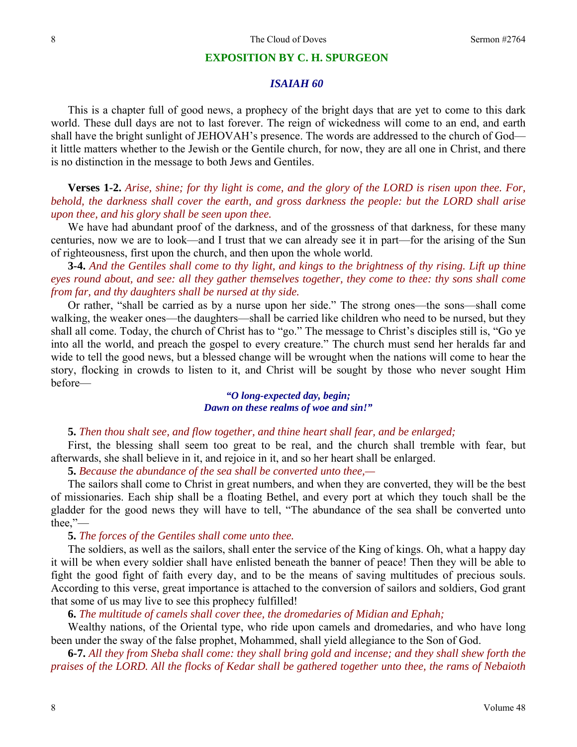#### **EXPOSITION BY C. H. SPURGEON**

### *ISAIAH 60*

This is a chapter full of good news, a prophecy of the bright days that are yet to come to this dark world. These dull days are not to last forever. The reign of wickedness will come to an end, and earth shall have the bright sunlight of JEHOVAH's presence. The words are addressed to the church of God it little matters whether to the Jewish or the Gentile church, for now, they are all one in Christ, and there is no distinction in the message to both Jews and Gentiles.

**Verses 1-2.** *Arise, shine; for thy light is come, and the glory of the LORD is risen upon thee. For, behold, the darkness shall cover the earth, and gross darkness the people: but the LORD shall arise upon thee, and his glory shall be seen upon thee.* 

We have had abundant proof of the darkness, and of the grossness of that darkness, for these many centuries, now we are to look—and I trust that we can already see it in part—for the arising of the Sun of righteousness, first upon the church, and then upon the whole world.

**3-4.** *And the Gentiles shall come to thy light, and kings to the brightness of thy rising. Lift up thine eyes round about, and see: all they gather themselves together, they come to thee: thy sons shall come from far, and thy daughters shall be nursed at thy side.* 

Or rather, "shall be carried as by a nurse upon her side." The strong ones—the sons—shall come walking, the weaker ones—the daughters—shall be carried like children who need to be nursed, but they shall all come. Today, the church of Christ has to "go." The message to Christ's disciples still is, "Go ye into all the world, and preach the gospel to every creature." The church must send her heralds far and wide to tell the good news, but a blessed change will be wrought when the nations will come to hear the story, flocking in crowds to listen to it, and Christ will be sought by those who never sought Him before—

### *"O long-expected day, begin; Dawn on these realms of woe and sin!"*

**5.** *Then thou shalt see, and flow together, and thine heart shall fear, and be enlarged;* 

First, the blessing shall seem too great to be real, and the church shall tremble with fear, but afterwards, she shall believe in it, and rejoice in it, and so her heart shall be enlarged.

**5.** *Because the abundance of the sea shall be converted unto thee,—* 

The sailors shall come to Christ in great numbers, and when they are converted, they will be the best of missionaries. Each ship shall be a floating Bethel, and every port at which they touch shall be the gladder for the good news they will have to tell, "The abundance of the sea shall be converted unto thee,"—

#### **5.** *The forces of the Gentiles shall come unto thee.*

The soldiers, as well as the sailors, shall enter the service of the King of kings. Oh, what a happy day it will be when every soldier shall have enlisted beneath the banner of peace! Then they will be able to fight the good fight of faith every day, and to be the means of saving multitudes of precious souls. According to this verse, great importance is attached to the conversion of sailors and soldiers, God grant that some of us may live to see this prophecy fulfilled!

**6.** *The multitude of camels shall cover thee, the dromedaries of Midian and Ephah;* 

Wealthy nations, of the Oriental type, who ride upon camels and dromedaries, and who have long been under the sway of the false prophet, Mohammed, shall yield allegiance to the Son of God.

**6-7.** *All they from Sheba shall come: they shall bring gold and incense; and they shall shew forth the praises of the LORD. All the flocks of Kedar shall be gathered together unto thee, the rams of Nebaioth*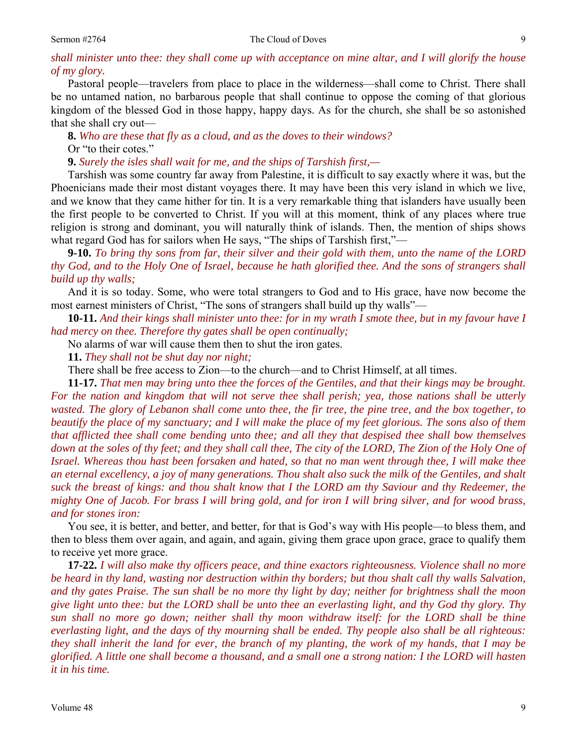*shall minister unto thee: they shall come up with acceptance on mine altar, and I will glorify the house of my glory.* 

Pastoral people—travelers from place to place in the wilderness—shall come to Christ. There shall be no untamed nation, no barbarous people that shall continue to oppose the coming of that glorious kingdom of the blessed God in those happy, happy days. As for the church, she shall be so astonished that she shall cry out—

**8.** *Who are these that fly as a cloud, and as the doves to their windows?*  Or "to their cotes."

**9.** *Surely the isles shall wait for me, and the ships of Tarshish first,—* 

Tarshish was some country far away from Palestine, it is difficult to say exactly where it was, but the Phoenicians made their most distant voyages there. It may have been this very island in which we live, and we know that they came hither for tin. It is a very remarkable thing that islanders have usually been the first people to be converted to Christ. If you will at this moment, think of any places where true religion is strong and dominant, you will naturally think of islands. Then, the mention of ships shows what regard God has for sailors when He says, "The ships of Tarshish first,"—

**9-10.** *To bring thy sons from far, their silver and their gold with them, unto the name of the LORD thy God, and to the Holy One of Israel, because he hath glorified thee. And the sons of strangers shall build up thy walls;*

And it is so today. Some, who were total strangers to God and to His grace, have now become the most earnest ministers of Christ, "The sons of strangers shall build up thy walls"—

**10-11.** *And their kings shall minister unto thee: for in my wrath I smote thee, but in my favour have I had mercy on thee. Therefore thy gates shall be open continually;*

No alarms of war will cause them then to shut the iron gates.

**11.** *They shall not be shut day nor night;* 

There shall be free access to Zion—to the church—and to Christ Himself, at all times.

**11-17.** *That men may bring unto thee the forces of the Gentiles, and that their kings may be brought. For the nation and kingdom that will not serve thee shall perish; yea, those nations shall be utterly wasted. The glory of Lebanon shall come unto thee, the fir tree, the pine tree, and the box together, to beautify the place of my sanctuary; and I will make the place of my feet glorious. The sons also of them that afflicted thee shall come bending unto thee; and all they that despised thee shall bow themselves*  down at the soles of thy feet; and they shall call thee, The city of the LORD, The Zion of the Holy One of *Israel. Whereas thou hast been forsaken and hated, so that no man went through thee, I will make thee an eternal excellency, a joy of many generations. Thou shalt also suck the milk of the Gentiles, and shalt suck the breast of kings: and thou shalt know that I the LORD am thy Saviour and thy Redeemer, the mighty One of Jacob. For brass I will bring gold, and for iron I will bring silver, and for wood brass, and for stones iron:* 

You see, it is better, and better, and better, for that is God's way with His people—to bless them, and then to bless them over again, and again, and again, giving them grace upon grace, grace to qualify them to receive yet more grace.

**17-22.** *I will also make thy officers peace, and thine exactors righteousness. Violence shall no more be heard in thy land, wasting nor destruction within thy borders; but thou shalt call thy walls Salvation, and thy gates Praise. The sun shall be no more thy light by day; neither for brightness shall the moon give light unto thee: but the LORD shall be unto thee an everlasting light, and thy God thy glory. Thy sun shall no more go down; neither shall thy moon withdraw itself: for the LORD shall be thine everlasting light, and the days of thy mourning shall be ended. Thy people also shall be all righteous: they shall inherit the land for ever, the branch of my planting, the work of my hands, that I may be glorified. A little one shall become a thousand, and a small one a strong nation: I the LORD will hasten it in his time.*